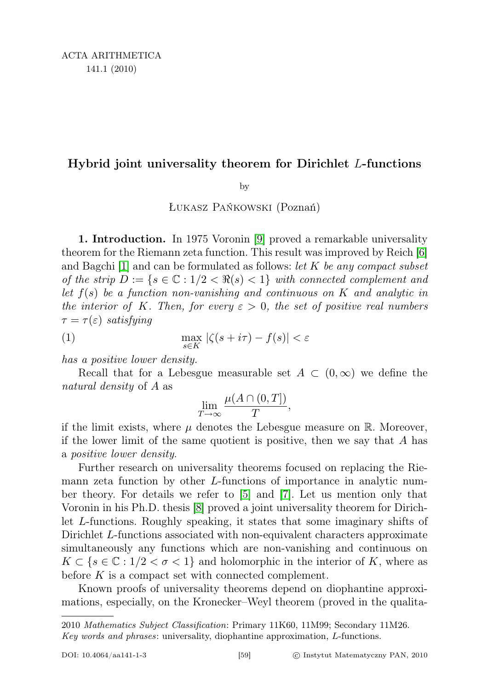## Hybrid joint universality theorem for Dirichlet L-functions

by

Łukasz Pańkowski (Poznań)

1. Introduction. In 1975 Voronin [\[9\]](#page-13-0) proved a remarkable universality theorem for the Riemann zeta function. This result was improved by Reich [\[6\]](#page-13-1) and Bagchi  $|1|$  and can be formulated as follows: let K be any compact subset of the strip  $D := \{s \in \mathbb{C} : 1/2 < \Re(s) < 1\}$  with connected complement and let  $f(s)$  be a function non-vanishing and continuous on K and analytic in the interior of K. Then, for every  $\varepsilon > 0$ , the set of positive real numbers  $\tau = \tau(\varepsilon)$  satisfying

(1) 
$$
\max_{s \in K} |\zeta(s + i\tau) - f(s)| < \varepsilon
$$

has a positive lower density.

Recall that for a Lebesgue measurable set  $A \subset (0,\infty)$  we define the natural density of A as

<span id="page-0-0"></span>
$$
\lim_{T \to \infty} \frac{\mu(A \cap (0, T])}{T},
$$

if the limit exists, where  $\mu$  denotes the Lebesgue measure on R. Moreover, if the lower limit of the same quotient is positive, then we say that  $A$  has a positive lower density.

Further research on universality theorems focused on replacing the Riemann zeta function by other L-functions of importance in analytic number theory. For details we refer to [\[5\]](#page-13-2) and [\[7\]](#page-13-3). Let us mention only that Voronin in his Ph.D. thesis [\[8\]](#page-13-4) proved a joint universality theorem for Dirichlet L-functions. Roughly speaking, it states that some imaginary shifts of Dirichlet L-functions associated with non-equivalent characters approximate simultaneously any functions which are non-vanishing and continuous on  $K \subset \{s \in \mathbb{C} : 1/2 < \sigma < 1\}$  and holomorphic in the interior of K, where as before  $K$  is a compact set with connected complement.

Known proofs of universality theorems depend on diophantine approximations, especially, on the Kronecker–Weyl theorem (proved in the qualita-

<sup>2010</sup> Mathematics Subject Classification: Primary 11K60, 11M99; Secondary 11M26. Key words and phrases: universality, diophantine approximation, L-functions.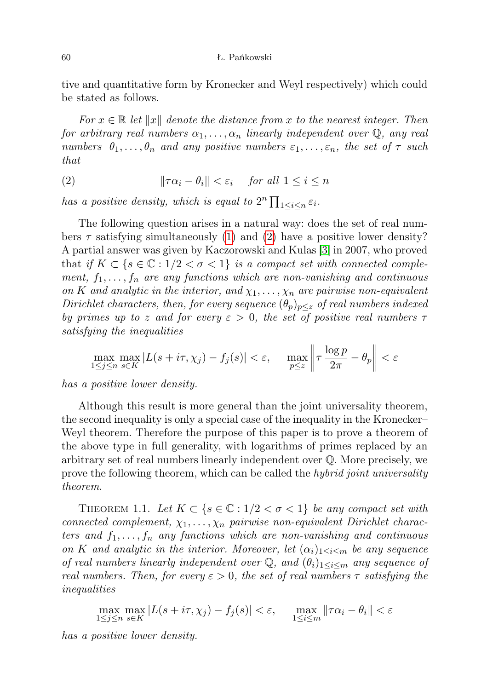tive and quantitative form by Kronecker and Weyl respectively) which could be stated as follows.

For  $x \in \mathbb{R}$  let  $||x||$  denote the distance from x to the nearest integer. Then for arbitrary real numbers  $\alpha_1, \ldots, \alpha_n$  linearly independent over  $\mathbb{Q}$ , any real numbers  $\theta_1, \ldots, \theta_n$  and any positive numbers  $\varepsilon_1, \ldots, \varepsilon_n$ , the set of  $\tau$  such that

<span id="page-1-0"></span>(2) 
$$
\|\tau \alpha_i - \theta_i\| < \varepsilon_i \quad \text{for all } 1 \leq i \leq n
$$

has a positive density, which is equal to  $2^n \prod_{1 \leq i \leq n} \varepsilon_i$ .

The following question arises in a natural way: does the set of real numbers  $\tau$  satisfying simultaneously [\(1\)](#page-0-0) and [\(2\)](#page-1-0) have a positive lower density? A partial answer was given by Kaczorowski and Kulas [\[3\]](#page-13-5) in 2007, who proved that if  $K \subset \{s \in \mathbb{C} : 1/2 < \sigma < 1\}$  is a compact set with connected complement,  $f_1, \ldots, f_n$  are any functions which are non-vanishing and continuous on K and analytic in the interior, and  $\chi_1, \ldots, \chi_n$  are pairwise non-equivalent Dirichlet characters, then, for every sequence  $(\theta_p)_{p\leq z}$  of real numbers indexed by primes up to z and for every  $\varepsilon > 0$ , the set of positive real numbers  $\tau$ satisfying the inequalities

$$
\max_{1 \le j \le n} \max_{s \in K} |L(s + i\tau, \chi_j) - f_j(s)| < \varepsilon, \quad \max_{p \le z} \left\| \tau \frac{\log p}{2\pi} - \theta_p \right\| < \varepsilon
$$

has a positive lower density.

Although this result is more general than the joint universality theorem, the second inequality is only a special case of the inequality in the Kronecker– Weyl theorem. Therefore the purpose of this paper is to prove a theorem of the above type in full generality, with logarithms of primes replaced by an arbitrary set of real numbers linearly independent over Q. More precisely, we prove the following theorem, which can be called the *hybrid joint universality* theorem.

<span id="page-1-1"></span>THEOREM 1.1. Let  $K \subset \{s \in \mathbb{C} : 1/2 < \sigma < 1\}$  be any compact set with connected complement,  $\chi_1, \ldots, \chi_n$  pairwise non-equivalent Dirichlet characters and  $f_1, \ldots, f_n$  any functions which are non-vanishing and continuous on K and analytic in the interior. Moreover, let  $(\alpha_i)_{1 \leq i \leq m}$  be any sequence of real numbers linearly independent over  $\mathbb{Q}$ , and  $(\theta_i)_{1 \leq i \leq m}$  any sequence of real numbers. Then, for every  $\varepsilon > 0$ , the set of real numbers  $\tau$  satisfying the inequalities

$$
\max_{1 \le j \le n} \max_{s \in K} |L(s + i\tau, \chi_j) - f_j(s)| < \varepsilon, \quad \max_{1 \le i \le m} \|\tau \alpha_i - \theta_i\| < \varepsilon
$$

has a positive lower density.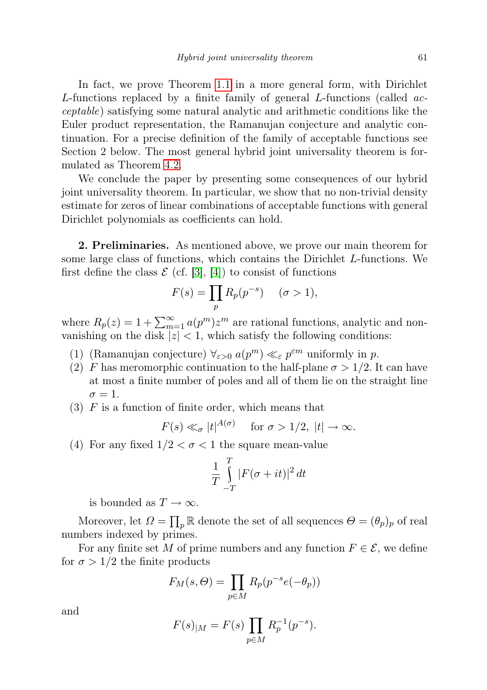In fact, we prove Theorem [1.1](#page-1-1) in a more general form, with Dirichlet L-functions replaced by a finite family of general L-functions (called acceptable) satisfying some natural analytic and arithmetic conditions like the Euler product representation, the Ramanujan conjecture and analytic continuation. For a precise definition of the family of acceptable functions see Section 2 below. The most general hybrid joint universality theorem is formulated as Theorem [4.2.](#page-9-0)

We conclude the paper by presenting some consequences of our hybrid joint universality theorem. In particular, we show that no non-trivial density estimate for zeros of linear combinations of acceptable functions with general Dirichlet polynomials as coefficients can hold.

2. Preliminaries. As mentioned above, we prove our main theorem for some large class of functions, which contains the Dirichlet L-functions. We first define the class  $\mathcal{E}$  (cf. [\[3\]](#page-13-5), [\[4\]](#page-13-6)) to consist of functions

$$
F(s) = \prod_p R_p(p^{-s}) \quad (\sigma > 1),
$$

where  $R_p(z) = 1 + \sum_{m=1}^{\infty} a(p^m) z^m$  are rational functions, analytic and nonvanishing on the disk  $|z| < 1$ , which satisfy the following conditions:

- (1) (Ramanujan conjecture)  $\forall_{\varepsilon>0} a(p^m) \ll_{\varepsilon} p^{\varepsilon m}$  uniformly in p.
- (2) F has meromorphic continuation to the half-plane  $\sigma > 1/2$ . It can have at most a finite number of poles and all of them lie on the straight line  $\sigma=1.$
- $(3)$  F is a function of finite order, which means that

$$
F(s) \ll_{\sigma} |t|^{A(\sigma)}
$$
 for  $\sigma > 1/2$ ,  $|t| \to \infty$ .

(4) For any fixed  $1/2 < \sigma < 1$  the square mean-value

$$
\frac{1}{T}\int_{-T}^{T}|F(\sigma+it)|^2 dt
$$

is bounded as  $T \to \infty$ .

Moreover, let  $\Omega = \prod_p \mathbb{R}$  denote the set of all sequences  $\Theta = (\theta_p)_p$  of real numbers indexed by primes.

For any finite set M of prime numbers and any function  $F \in \mathcal{E}$ , we define for  $\sigma > 1/2$  the finite products

$$
F_M(s, \Theta) = \prod_{p \in M} R_p(p^{-s}e(-\theta_p))
$$

and

$$
F(s)_{|M} = F(s) \prod_{p \in M} R_p^{-1}(p^{-s}).
$$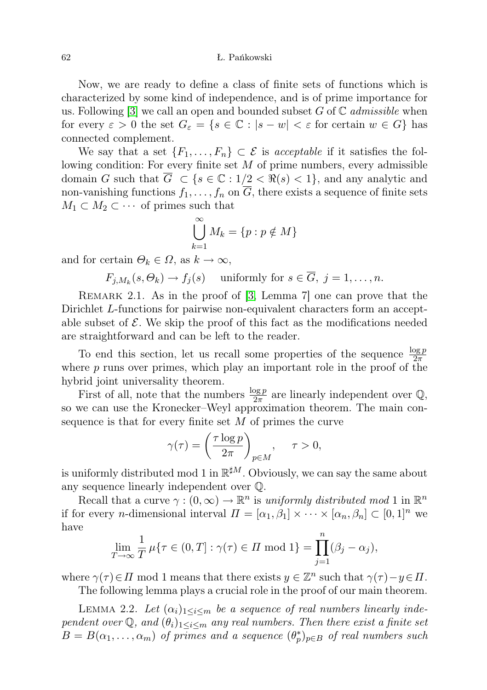62 Ł. Pańkowski

Now, we are ready to define a class of finite sets of functions which is characterized by some kind of independence, and is of prime importance for us. Following  $|3|$  we call an open and bounded subset G of  $\mathbb C$  admissible when for every  $\varepsilon > 0$  the set  $G_{\varepsilon} = \{ s \in \mathbb{C} : |s - w| < \varepsilon$  for certain  $w \in G \}$  has connected complement.

We say that a set  $\{F_1, \ldots, F_n\} \subset \mathcal{E}$  is acceptable if it satisfies the following condition: For every finite set  $M$  of prime numbers, every admissible domain G such that  $\overline{G} \subset \{s \in \mathbb{C} : 1/2 < \Re(s) < 1\}$ , and any analytic and non-vanishing functions  $f_1, \ldots, f_n$  on  $\overline{G}$ , there exists a sequence of finite sets  $M_1 \subset M_2 \subset \cdots$  of primes such that

$$
\bigcup_{k=1}^{\infty} M_k = \{p : p \notin M\}
$$

and for certain  $\Theta_k \in \Omega$ , as  $k \to \infty$ ,

 $F_{j,M_k}(s,\Theta_k) \to f_j(s)$  uniformly for  $s \in G, j = 1, \ldots, n$ .

<span id="page-3-1"></span>REMARK 2.1. As in the proof of [\[3,](#page-13-5) Lemma 7] one can prove that the Dirichlet L-functions for pairwise non-equivalent characters form an acceptable subset of  $\mathcal E$ . We skip the proof of this fact as the modifications needed are straightforward and can be left to the reader.

To end this section, let us recall some properties of the sequence  $\frac{\log p}{2\pi}$ where  $p$  runs over primes, which play an important role in the proof of the hybrid joint universality theorem.

First of all, note that the numbers  $\frac{\log p}{2\pi}$  are linearly independent over  $\mathbb{Q}$ , so we can use the Kronecker–Weyl approximation theorem. The main consequence is that for every finite set  $M$  of primes the curve

$$
\gamma(\tau) = \left(\frac{\tau \log p}{2\pi}\right)_{p \in M}, \quad \tau > 0,
$$

is uniformly distributed mod 1 in  $\mathbb{R}^{\sharp M}$ . Obviously, we can say the same about any sequence linearly independent over Q.

Recall that a curve  $\gamma : (0, \infty) \to \mathbb{R}^n$  is uniformly distributed mod 1 in  $\mathbb{R}^n$ if for every *n*-dimensional interval  $\Pi = [\alpha_1, \beta_1] \times \cdots \times [\alpha_n, \beta_n] \subset [0, 1]^n$  we have

$$
\lim_{T \to \infty} \frac{1}{T} \mu \{ \tau \in (0, T] : \gamma(\tau) \in \Pi \text{ mod } 1 \} = \prod_{j=1}^{n} (\beta_j - \alpha_j),
$$

where  $\gamma(\tau) \in \Pi$  mod 1 means that there exists  $y \in \mathbb{Z}^n$  such that  $\gamma(\tau) - y \in \Pi$ .

The following lemma plays a crucial role in the proof of our main theorem.

<span id="page-3-0"></span>LEMMA 2.2. Let  $(\alpha_i)_{1 \leq i \leq m}$  be a sequence of real numbers linearly independent over Q, and  $(\theta_i)_{1 \leq i \leq m}$  any real numbers. Then there exist a finite set  $B = B(\alpha_1, \ldots, \alpha_m)$  of primes and a sequence  $(\theta_p^*)_{p \in B}$  of real numbers such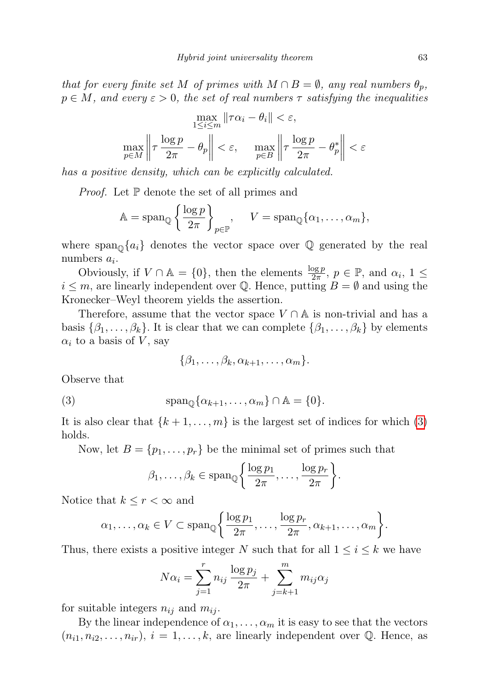that for every finite set M of primes with  $M \cap B = \emptyset$ , any real numbers  $\theta_p$ ,  $p \in M$ , and every  $\varepsilon > 0$ , the set of real numbers  $\tau$  satisfying the inequalities

$$
\max_{1 \le i \le m} \|\tau \alpha_i - \theta_i\| < \varepsilon,
$$
\n
$$
\max_{p \in M} \left\|\tau \frac{\log p}{2\pi} - \theta_p\right\| < \varepsilon, \quad \max_{p \in B} \left\|\tau \frac{\log p}{2\pi} - \theta_p^*\right\| < \varepsilon
$$

has a positive density, which can be explicitly calculated.

*Proof.* Let  $\mathbb P$  denote the set of all primes and

$$
\mathbb{A} = \operatorname{span}_{\mathbb{Q}} \left\{ \frac{\log p}{2\pi} \right\}_{p \in \mathbb{P}}, \quad V = \operatorname{span}_{\mathbb{Q}} \{ \alpha_1, \dots, \alpha_m \},
$$

where  $\text{span}_{\mathbb{Q}}\{a_i\}$  denotes the vector space over  $\mathbb Q$  generated by the real numbers  $a_i$ .

Obviously, if  $V \cap \mathbb{A} = \{0\}$ , then the elements  $\frac{\log p}{2\pi}$ ,  $p \in \mathbb{P}$ , and  $\alpha_i$ ,  $1 \leq$  $i \leq m$ , are linearly independent over Q. Hence, putting  $B = \emptyset$  and using the Kronecker–Weyl theorem yields the assertion.

Therefore, assume that the vector space  $V \cap A$  is non-trivial and has a basis  $\{\beta_1,\ldots,\beta_k\}$ . It is clear that we can complete  $\{\beta_1,\ldots,\beta_k\}$  by elements  $\alpha_i$  to a basis of V, say

<span id="page-4-0"></span>
$$
\{\beta_1,\ldots,\beta_k,\alpha_{k+1},\ldots,\alpha_m\}.
$$

Observe that

(3) 
$$
\text{span}_{\mathbb{Q}}\{\alpha_{k+1},\ldots,\alpha_m\}\cap\mathbb{A}=\{0\}.
$$

It is also clear that  $\{k+1,\ldots,m\}$  is the largest set of indices for which [\(3\)](#page-4-0) holds.

Now, let  $B = \{p_1, \ldots, p_r\}$  be the minimal set of primes such that

$$
\beta_1, \ldots, \beta_k \in \text{span}_{\mathbb{Q}}\left\{\frac{\log p_1}{2\pi}, \ldots, \frac{\log p_r}{2\pi}\right\}.
$$

Notice that  $k \leq r < \infty$  and

$$
\alpha_1, \ldots, \alpha_k \in V \subset \text{span}_{\mathbb{Q}} \bigg\{ \frac{\log p_1}{2\pi}, \ldots, \frac{\log p_r}{2\pi}, \alpha_{k+1}, \ldots, \alpha_m \bigg\}.
$$

Thus, there exists a positive integer N such that for all  $1 \leq i \leq k$  we have

$$
N\alpha_i = \sum_{j=1}^r n_{ij} \frac{\log p_j}{2\pi} + \sum_{j=k+1}^m m_{ij}\alpha_j
$$

for suitable integers  $n_{ij}$  and  $m_{ij}$ .

By the linear independence of  $\alpha_1, \ldots, \alpha_m$  it is easy to see that the vectors  $(n_{i1}, n_{i2}, \ldots, n_{ir}), i = 1, \ldots, k$ , are linearly independent over  $\mathbb{Q}$ . Hence, as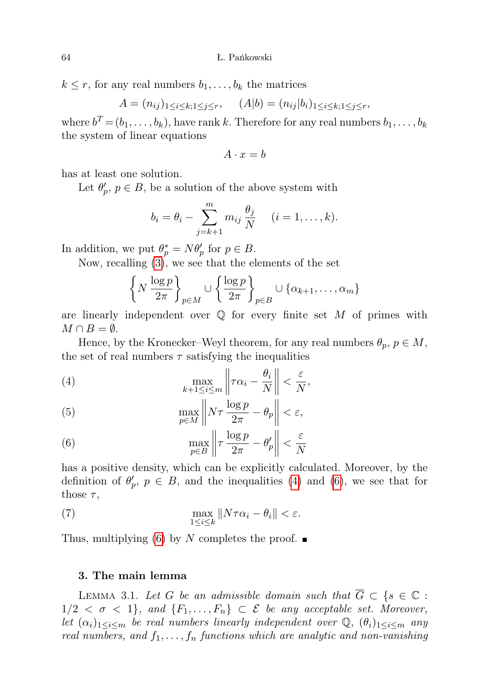$k \leq r$ , for any real numbers  $b_1, \ldots, b_k$  the matrices

$$
A = (n_{ij})_{1 \le i \le k; 1 \le j \le r}, \quad (A|b) = (n_{ij}|b_i)_{1 \le i \le k; 1 \le j \le r},
$$

where  $b^T = (b_1, \ldots, b_k)$ , have rank k. Therefore for any real numbers  $b_1, \ldots, b_k$ the system of linear equations

$$
A \cdot x = b
$$

has at least one solution.

Let  $\theta_p', p \in B$ , be a solution of the above system with

$$
b_i = \theta_i - \sum_{j=k+1}^m m_{ij} \frac{\theta_j}{N} \quad (i = 1, \dots, k).
$$

In addition, we put  $\theta_p^* = N\theta_p'$  for  $p \in B$ .

Now, recalling [\(3\)](#page-4-0), we see that the elements of the set

$$
\left\{N\,\frac{\log p}{2\pi}\right\}_{p\in M}\cup\left\{\frac{\log p}{2\pi}\right\}_{p\in B}\cup\{\alpha_{k+1},\ldots,\alpha_m\}
$$

are linearly independent over  $\mathbb Q$  for every finite set M of primes with  $M \cap B = \emptyset$ .

Hence, by the Kronecker–Weyl theorem, for any real numbers  $\theta_p$ ,  $p \in M$ , the set of real numbers  $\tau$  satisfying the inequalities

<span id="page-5-0"></span>(4) 
$$
\max_{k+1 \leq i \leq m} \left\| \tau \alpha_i - \frac{\theta_i}{N} \right\| < \frac{\varepsilon}{N},
$$

(5) 
$$
\max_{p \in M} \left\| N \tau \frac{\log p}{2\pi} - \theta_p \right\| < \varepsilon,
$$

<span id="page-5-1"></span>(6) 
$$
\max_{p \in B} \left\| \tau \frac{\log p}{2\pi} - \theta_p' \right\| < \frac{\varepsilon}{N}
$$

has a positive density, which can be explicitly calculated. Moreover, by the definition of  $\theta'_p$ ,  $p \in B$ , and the inequalities [\(4\)](#page-5-0) and [\(6\)](#page-5-1), we see that for those  $\tau$ ,

<span id="page-5-2"></span>(7) 
$$
\max_{1 \leq i \leq k} \|N\tau \alpha_i - \theta_i\| < \varepsilon.
$$

Thus, multiplying [\(6\)](#page-5-1) by N completes the proof.  $\blacksquare$ 

## 3. The main lemma

<span id="page-5-3"></span>LEMMA 3.1. Let G be an admissible domain such that  $\overline{G} \subset \{s \in \mathbb{C} :$  $1/2 < \sigma < 1$ , and  $\{F_1, \ldots, F_n\} \subset \mathcal{E}$  be any acceptable set. Moreover, let  $(\alpha_i)_{1\leq i\leq m}$  be real numbers linearly independent over  $\mathbb{Q}, (\theta_i)_{1\leq i\leq m}$  any real numbers, and  $f_1, \ldots, f_n$  functions which are analytic and non-vanishing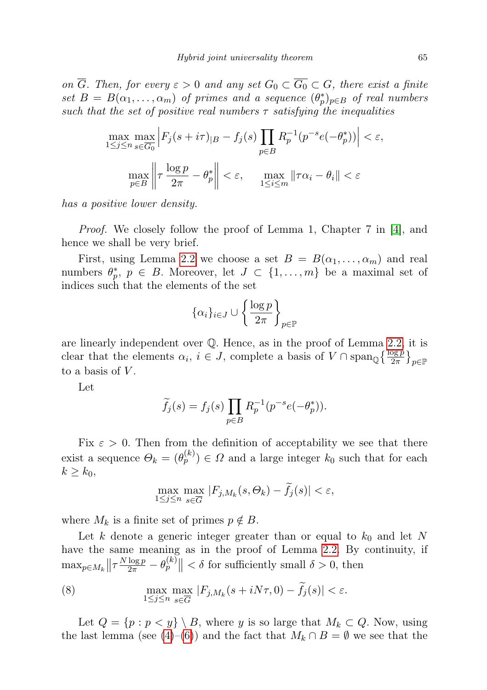on  $\overline{G}$ . Then, for every  $\varepsilon > 0$  and any set  $G_0 \subset \overline{G_0} \subset G$ , there exist a finite set  $B = B(\alpha_1, \ldots, \alpha_m)$  of primes and a sequence  $(\theta_p^*)_{p \in B}$  of real numbers such that the set of positive real numbers  $\tau$  satisfying the inequalities

$$
\max_{1 \le j \le n} \max_{s \in \overline{G_0}} \left| F_j(s + i\tau)_{|B} - f_j(s) \prod_{p \in B} R_p^{-1}(p^{-s}e(-\theta_p^*)) \right| < \varepsilon,
$$
\n
$$
\max_{p \in B} \left\| \tau \frac{\log p}{2\pi} - \theta_p^* \right\| < \varepsilon, \quad \max_{1 \le i \le m} \|\tau \alpha_i - \theta_i\| < \varepsilon
$$

has a positive lower density.

Proof. We closely follow the proof of Lemma 1, Chapter 7 in [\[4\]](#page-13-6), and hence we shall be very brief.

First, using Lemma [2.2](#page-3-0) we choose a set  $B = B(\alpha_1, \ldots, \alpha_m)$  and real numbers  $\theta_p^*, p \in B$ . Moreover, let  $J \subset \{1, \ldots, m\}$  be a maximal set of indices such that the elements of the set

$$
\{\alpha_i\}_{i\in J}\cup \left\{\frac{\log p}{2\pi}\right\}_{p\in\mathbb{P}}
$$

are linearly independent over Q. Hence, as in the proof of Lemma [2.2,](#page-3-0) it is clear that the elements  $\alpha_i, i \in J$ , complete a basis of  $V \cap \text{span}_{\mathbb{Q}}\left\{\frac{\log p}{2\pi}\right\}_{p \in \mathbb{P}}$ to a basis of  $V$ .

Let

$$
\widetilde{f}_j(s) = f_j(s) \prod_{p \in B} R_p^{-1}(p^{-s}e(-\theta_p^*)).
$$

Fix  $\varepsilon > 0$ . Then from the definition of acceptability we see that there exist a sequence  $\Theta_k = (\theta_p^{(k)}) \in \Omega$  and a large integer  $k_0$  such that for each  $k \geq k_0$ 

$$
\max_{1 \le j \le n} \max_{s \in \overline{G}} |F_{j,M_k}(s,\Theta_k) - \tilde{f}_j(s)| < \varepsilon,
$$

where  $M_k$  is a finite set of primes  $p \notin B$ .

Let k denote a generic integer greater than or equal to  $k_0$  and let N have the same meaning as in the proof of Lemma [2.2.](#page-3-0) By continuity, if  $\max_{p \in M_k} \left\| \tau \frac{N \log p}{2\pi} - \theta_p^{(k)} \right\| < \delta$  for sufficiently small  $\delta > 0$ , then

<span id="page-6-0"></span>(8) 
$$
\max_{1 \leq j \leq n} \max_{s \in \overline{G}} |F_{j,M_k}(s+iN\tau,0) - \tilde{f}_j(s)| < \varepsilon.
$$

Let  $Q = \{p : p < y\} \setminus B$ , where y is so large that  $M_k \subset Q$ . Now, using the last lemma (see [\(4\)](#page-5-0)–[\(6\)](#page-5-1)) and the fact that  $M_k \cap B = \emptyset$  we see that the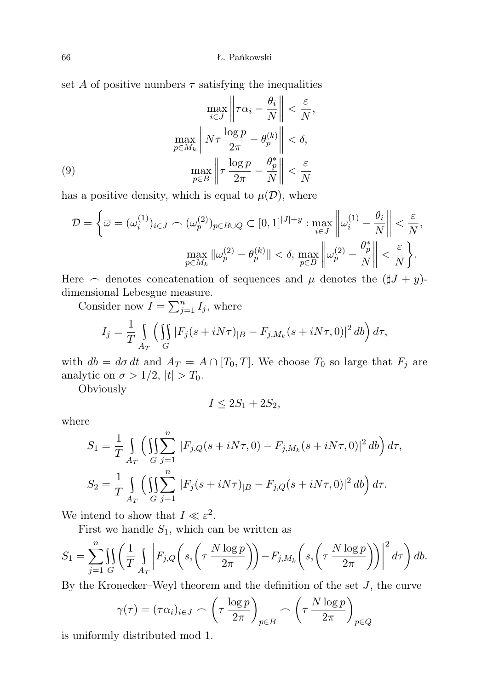set A of positive numbers  $\tau$  satisfying the inequalities

(9)  
\n
$$
\max_{i \in J} \left\| \tau \alpha_i - \frac{\theta_i}{N} \right\| < \frac{\varepsilon}{N},
$$
\n
$$
\max_{p \in M_k} \left\| N\tau \frac{\log p}{2\pi} - \theta_p^{(k)} \right\| < \delta,
$$
\n
$$
\max_{p \in B} \left\| \tau \frac{\log p}{2\pi} - \frac{\theta_p^*}{N} \right\| < \frac{\varepsilon}{N}
$$

<span id="page-7-0"></span>has a positive density, which is equal to  $\mu(\mathcal{D})$ , where

$$
\mathcal{D} = \left\{ \overline{\omega} = (\omega_i^{(1)})_{i \in J} \cap (\omega_p^{(2)})_{p \in B \cup Q} \subset [0, 1]^{|J|+y} : \max_{i \in J} \left\| \omega_i^{(1)} - \frac{\theta_i}{N} \right\| < \frac{\varepsilon}{N},
$$
\n
$$
\max_{p \in M_k} \|\omega_p^{(2)} - \theta_p^{(k)}\| < \delta, \max_{p \in B} \left\| \omega_p^{(2)} - \frac{\theta_p^*}{N} \right\| < \frac{\varepsilon}{N} \right\}.
$$

Here  $\frown$  denotes concatenation of sequences and  $\mu$  denotes the  $(\sharp J + y)$ dimensional Lebesgue measure.

Consider now  $I = \sum_{j=1}^{n} I_j$ , where

$$
I_j = \frac{1}{T} \int\limits_{A_T} \left( \iint\limits_G |F_j(s + iN\tau)|_B - F_{j,M_k}(s + iN\tau, 0)|^2 \, db \right) d\tau,
$$

with  $db = d\sigma dt$  and  $A_T = A \cap [T_0, T]$ . We choose  $T_0$  so large that  $F_j$  are analytic on  $\sigma > 1/2$ ,  $|t| > T_0$ .

Obviously

$$
I \le 2S_1 + 2S_2,
$$

where

$$
S_1 = \frac{1}{T} \int_{A_T} \left( \iint_{G} \sum_{j=1}^n |F_{j,Q}(s + iN\tau, 0) - F_{j,M_k}(s + iN\tau, 0)|^2 \, db \right) d\tau,
$$
  
\n
$$
S_2 = \frac{1}{T} \int_{A_T} \left( \iint_{G} \sum_{j=1}^n |F_j(s + iN\tau)|_B - F_{j,Q}(s + iN\tau, 0)|^2 \, db \right) d\tau.
$$

We intend to show that  $I \ll \varepsilon^2$ .

First we handle  $S_1$ , which can be written as

$$
S_1 = \sum_{j=1}^n \iint\limits_G \left( \frac{1}{T} \int\limits_{A_T} \left| F_{j,Q} \left( s, \left( \tau \frac{N \log p}{2\pi} \right) \right) - F_{j,M_k} \left( s, \left( \tau \frac{N \log p}{2\pi} \right) \right) \right|^2 d\tau \right) db.
$$

By the Kronecker–Weyl theorem and the definition of the set  $J$ , the curve

$$
\gamma(\tau) = (\tau \alpha_i)_{i \in J} \frown \left(\tau \frac{\log p}{2\pi}\right)_{p \in B} \frown \left(\tau \frac{N \log p}{2\pi}\right)_{p \in Q}
$$

is uniformly distributed mod 1.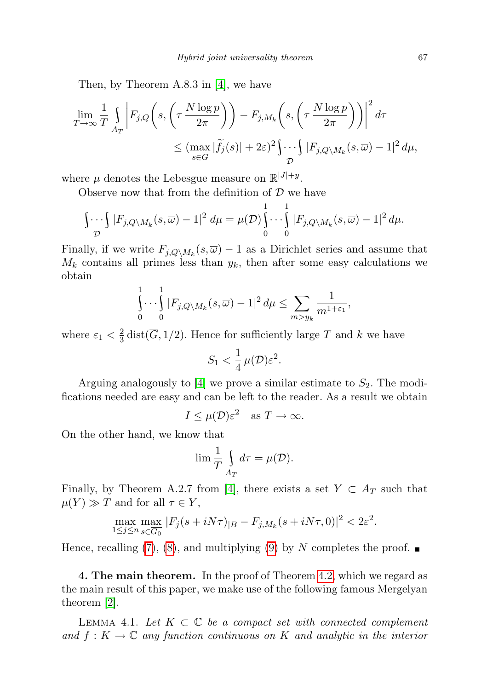Then, by Theorem A.8.3 in [\[4\]](#page-13-6), we have

$$
\lim_{T \to \infty} \frac{1}{T} \int_{A_T} \left| F_{j,Q}\left(s, \left(\tau \frac{N \log p}{2\pi}\right)\right) - F_{j,M_k}\left(s, \left(\tau \frac{N \log p}{2\pi}\right)\right) \right|^2 d\tau
$$
\n
$$
\leq (\max_{s \in \overline{G}} |\widetilde{f}_j(s)| + 2\varepsilon)^2 \int_{\mathcal{D}} \cdots \int_{\mathcal{D}} |F_{j,Q\setminus M_k}(s,\overline{\omega}) - 1|^2 d\mu,
$$

where  $\mu$  denotes the Lebesgue measure on  $\mathbb{R}^{|J|+y}$ .

Observe now that from the definition of  $\mathcal D$  we have

$$
\int_{\mathcal{D}} \int_{\mathcal{D}} |F_{j,Q} \setminus M_k(s,\overline{\omega}) - 1|^2 d\mu = \mu(\mathcal{D}) \int_0^1 \cdots \int_0^1 |F_{j,Q} \setminus M_k(s,\overline{\omega}) - 1|^2 d\mu.
$$

Finally, if we write  $F_{j,Q\setminus M_k}(s,\overline{\omega})-1$  as a Dirichlet series and assume that  $M_k$  contains all primes less than  $y_k$ , then after some easy calculations we obtain

$$
\int_{0}^{1} \cdots \int_{0}^{1} |F_{j,Q\setminus M_k}(s,\overline{\omega}) - 1|^2 d\mu \le \sum_{m > y_k} \frac{1}{m^{1+\varepsilon_1}},
$$

where  $\varepsilon_1 < \frac{2}{3}$  $\frac{2}{3}$  dist(*G*, 1/2). Hence for sufficiently large *T* and *k* we have

$$
S_1 < \frac{1}{4} \,\mu(\mathcal{D}) \varepsilon^2.
$$

Arguing analogously to  $|4|$  we prove a similar estimate to  $S_2$ . The modifications needed are easy and can be left to the reader. As a result we obtain

$$
I \le \mu(\mathcal{D})\varepsilon^2 \quad \text{as } T \to \infty.
$$

On the other hand, we know that

$$
\lim \frac{1}{T} \int_{A_T} d\tau = \mu(\mathcal{D}).
$$

Finally, by Theorem A.2.7 from [\[4\]](#page-13-6), there exists a set  $Y \subset A_T$  such that  $\mu(Y) \gg T$  and for all  $\tau \in Y$ ,

$$
\max_{1 \le j \le n} \max_{s \in \overline{G_0}} |F_j(s + iN\tau)|_B - F_{j,M_k}(s + iN\tau, 0)|^2 < 2\varepsilon^2.
$$

Hence, recalling [\(7\)](#page-5-2), [\(8\)](#page-6-0), and multiplying [\(9\)](#page-7-0) by N completes the proof.  $\blacksquare$ 

4. The main theorem. In the proof of Theorem [4.2,](#page-9-0) which we regard as the main result of this paper, we make use of the following famous Mergelyan theorem [\[2\]](#page-13-7).

LEMMA 4.1. Let  $K \subset \mathbb{C}$  be a compact set with connected complement and  $f: K \to \mathbb{C}$  any function continuous on K and analytic in the interior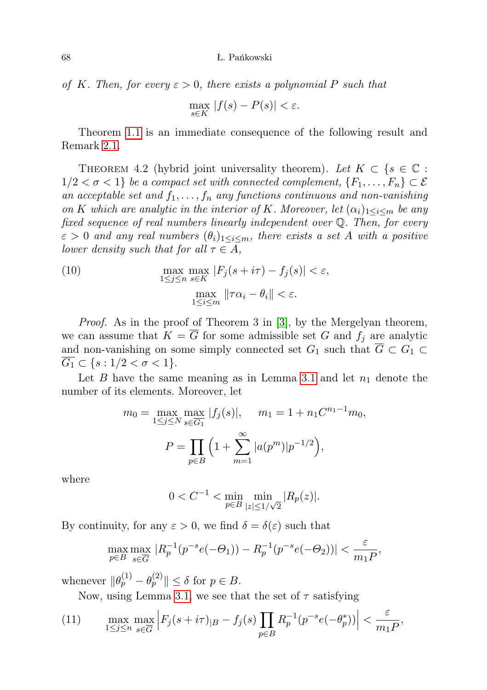of K. Then, for every  $\varepsilon > 0$ , there exists a polynomial P such that

$$
\max_{s \in K} |f(s) - P(s)| < \varepsilon.
$$

Theorem [1.1](#page-1-1) is an immediate consequence of the following result and Remark [2.1.](#page-3-1)

<span id="page-9-0"></span>THEOREM 4.2 (hybrid joint universality theorem). Let  $K \subset \{s \in \mathbb{C} :$  $1/2 < \sigma < 1$ } be a compact set with connected complement,  $\{F_1, \ldots, F_n\} \subset \mathcal{E}$ an acceptable set and  $f_1, \ldots, f_n$  any functions continuous and non-vanishing on K which are analytic in the interior of K. Moreover, let  $(\alpha_i)_{1 \leq i \leq m}$  be any fixed sequence of real numbers linearly independent over Q. Then, for every  $\varepsilon > 0$  and any real numbers  $(\theta_i)_{1 \leq i \leq m}$ , there exists a set A with a positive lower density such that for all  $\tau \in A$ ,

<span id="page-9-2"></span>(10) 
$$
\max_{1 \le j \le n} \max_{s \in K} |F_j(s + i\tau) - f_j(s)| < \varepsilon,
$$
\n
$$
\max_{1 \le i \le m} \|\tau \alpha_i - \theta_i\| < \varepsilon.
$$

Proof. As in the proof of Theorem 3 in [\[3\]](#page-13-5), by the Mergelyan theorem, we can assume that  $K = \overline{G}$  for some admissible set G and  $f_i$  are analytic and non-vanishing on some simply connected set  $G_1$  such that  $\overline{G} \subset G_1 \subset$  $G_1 \subset \{s: 1/2 < \sigma < 1\}.$ 

Let B have the same meaning as in Lemma [3.1](#page-5-3) and let  $n_1$  denote the number of its elements. Moreover, let

$$
m_0 = \max_{1 \le j \le N} \max_{s \in \overline{G_1}} |f_j(s)|, \quad m_1 = 1 + n_1 C^{n_1 - 1} m_0,
$$

$$
P = \prod_{p \in B} \left( 1 + \sum_{m=1}^{\infty} |a(p^m)| p^{-1/2} \right),
$$

where

$$
0 < C^{-1} < \min_{p \in B} \min_{|z| \le 1/\sqrt{2}} |R_p(z)|.
$$

By continuity, for any  $\varepsilon > 0$ , we find  $\delta = \delta(\varepsilon)$  such that

$$
\max_{p\in B}\max_{s\in \overline{G}}\, |R_p^{-1}(p^{-s}e(-\varTheta_1))-R_p^{-1}(p^{-s}e(-\varTheta_2))|<\frac{\varepsilon}{m_1P},
$$

whenever  $\|\theta_p^{(1)} - \theta_p^{(2)}\| \leq \delta$  for  $p \in B$ .

Now, using Lemma [3.1,](#page-5-3) we see that the set of  $\tau$  satisfying

<span id="page-9-1"></span>(11) 
$$
\max_{1 \le j \le n} \max_{s \in \overline{G}} \left| F_j(s + i\tau)_{|B} - f_j(s) \prod_{p \in B} R_p^{-1}(p^{-s}e(-\theta_p^*)) \right| < \frac{\varepsilon}{m_1 P},
$$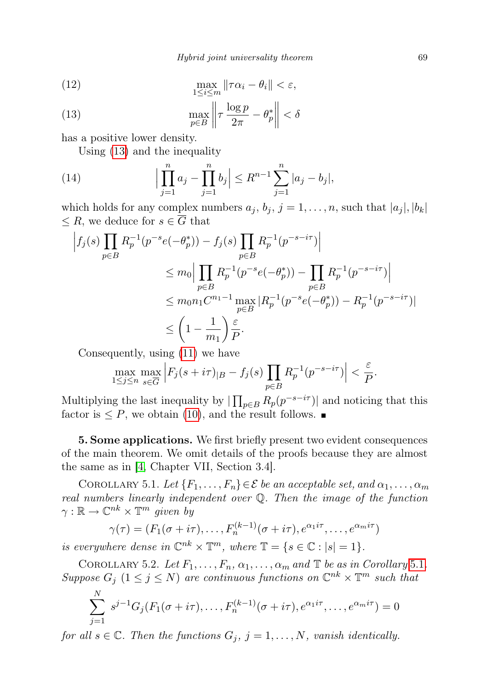(12) 
$$
\max_{1 \leq i \leq m} \|\tau \alpha_i - \theta_i\| < \varepsilon,
$$

<span id="page-10-0"></span>(13) 
$$
\max_{p \in B} \left\| \tau \frac{\log p}{2\pi} - \theta_p^* \right\| < \delta
$$

has a positive lower density.

<span id="page-10-2"></span>Using [\(13\)](#page-10-0) and the inequality

(14) 
$$
\Big|\prod_{j=1}^n a_j - \prod_{j=1}^n b_j\Big| \le R^{n-1} \sum_{j=1}^n |a_j - b_j|,
$$

which holds for any complex numbers  $a_j, b_j, j = 1, \ldots, n$ , such that  $|a_j|, |b_k|$  $\leq R$ , we deduce for  $s \in \overline{G}$  that

$$
\left| f_j(s) \prod_{p \in B} R_p^{-1}(p^{-s}e(-\theta_p^*)) - f_j(s) \prod_{p \in B} R_p^{-1}(p^{-s-i\tau}) \right|
$$
  
\n
$$
\leq m_0 \Big| \prod_{p \in B} R_p^{-1}(p^{-s}e(-\theta_p^*)) - \prod_{p \in B} R_p^{-1}(p^{-s-i\tau}) \Big|
$$
  
\n
$$
\leq m_0 n_1 C^{n_1 - 1} \max_{p \in B} |R_p^{-1}(p^{-s}e(-\theta_p^*)) - R_p^{-1}(p^{-s-i\tau})|
$$
  
\n
$$
\leq \left(1 - \frac{1}{m_1}\right) \frac{\varepsilon}{P}.
$$

Consequently, using [\(11\)](#page-9-1) we have

$$
\max_{1 \le j \le n} \max_{s \in \overline{G}} \left| F_j(s + i\tau)_{|B} - f_j(s) \prod_{p \in B} R_p^{-1}(p^{-s - i\tau}) \right| < \frac{\varepsilon}{P}.
$$

Multiplying the last inequality by  $\prod_{p\in B} R_p(p^{-s-i\tau})$  and noticing that this factor is  $\leq P$ , we obtain [\(10\)](#page-9-2), and the result follows.

5. Some applications. We first briefly present two evident consequences of the main theorem. We omit details of the proofs because they are almost the same as in [\[4,](#page-13-6) Chapter VII, Section 3.4].

<span id="page-10-1"></span>COROLLARY 5.1. Let  $\{F_1, \ldots, F_n\} \in \mathcal{E}$  be an acceptable set, and  $\alpha_1, \ldots, \alpha_m$ real numbers linearly independent over Q. Then the image of the function  $\gamma : \mathbb{R} \to \mathbb{C}^{nk} \times \mathbb{T}^m$  given by

$$
\gamma(\tau) = (F_1(\sigma + i\tau), \dots, F_n^{(k-1)}(\sigma + i\tau), e^{\alpha_1 i\tau}, \dots, e^{\alpha_m i\tau})
$$

is everywhere dense in  $\mathbb{C}^{nk} \times \mathbb{T}^m$ , where  $\mathbb{T} = \{s \in \mathbb{C} : |s| = 1\}.$ 

COROLLARY 5.2. Let  $F_1, \ldots, F_n, \alpha_1, \ldots, \alpha_m$  and  $\mathbb T$  be as in Corollary [5.1](#page-10-1). Suppose  $G_j$   $(1 \leq j \leq N)$  are continuous functions on  $\mathbb{C}^{nk} \times \mathbb{T}^m$  such that

$$
\sum_{j=1}^{N} s^{j-1} G_j(F_1(\sigma + i\tau), \dots, F_n^{(k-1)}(\sigma + i\tau), e^{\alpha_1 i\tau}, \dots, e^{\alpha_m i\tau}) = 0
$$

for all  $s \in \mathbb{C}$ . Then the functions  $G_j$ ,  $j = 1, ..., N$ , vanish identically.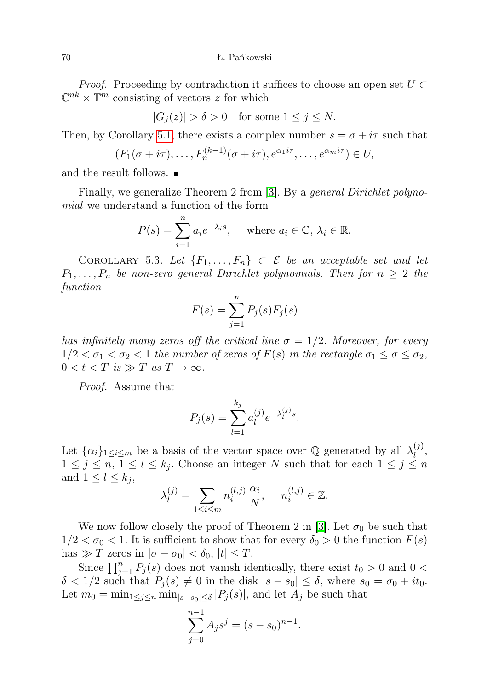70 Ł. Pańkowski

*Proof.* Proceeding by contradiction it suffices to choose an open set  $U \subset$  $\mathbb{C}^{nk} \times \mathbb{T}^m$  consisting of vectors z for which

$$
|G_j(z)| > \delta > 0 \quad \text{for some } 1 \le j \le N.
$$

Then, by Corollary [5.1,](#page-10-1) there exists a complex number  $s = \sigma + i\tau$  such that

$$
(F_1(\sigma+i\tau),\ldots,F_n^{(k-1)}(\sigma+i\tau),e^{\alpha_1i\tau},\ldots,e^{\alpha_m i\tau})\in U,
$$

and the result follows.

Finally, we generalize Theorem 2 from [\[3\]](#page-13-5). By a *general Dirichlet polyno*mial we understand a function of the form

$$
P(s) = \sum_{i=1}^{n} a_i e^{-\lambda_i s}, \quad \text{where } a_i \in \mathbb{C}, \lambda_i \in \mathbb{R}.
$$

COROLLARY 5.3. Let  $\{F_1, \ldots, F_n\} \subset \mathcal{E}$  be an acceptable set and let  $P_1, \ldots, P_n$  be non-zero general Dirichlet polynomials. Then for  $n \geq 2$  the function

$$
F(s) = \sum_{j=1}^{n} P_j(s) F_j(s)
$$

has infinitely many zeros off the critical line  $\sigma = 1/2$ . Moreover, for every  $1/2 < \sigma_1 < \sigma_2 < 1$  the number of zeros of  $F(s)$  in the rectangle  $\sigma_1 \leq \sigma \leq \sigma_2$ ,  $0 < t < T$  is  $\gg T$  as  $T \to \infty$ .

Proof. Assume that

$$
P_j(s) = \sum_{l=1}^{k_j} a_l^{(j)} e^{-\lambda_l^{(j)} s}.
$$

Let  $\{\alpha_i\}_{1\leq i\leq m}$  be a basis of the vector space over Q generated by all  $\lambda_l^{(j)}$  $l^{(J)}$  $1 \leq j \leq n, 1 \leq l \leq k_j$ . Choose an integer N such that for each  $1 \leq j \leq n$ and  $1 \leq l \leq k_j$ ,

$$
\lambda_l^{(j)} = \sum_{1 \leq i \leq m} n_i^{(l,j)} \frac{\alpha_i}{N}, \quad n_i^{(l,j)} \in \mathbb{Z}.
$$

We now follow closely the proof of Theorem 2 in [\[3\]](#page-13-5). Let  $\sigma_0$  be such that  $1/2 < \sigma_0 < 1$ . It is sufficient to show that for every  $\delta_0 > 0$  the function  $F(s)$ has  $\gg T$  zeros in  $|\sigma - \sigma_0| < \delta_0$ ,  $|t| \leq T$ .

Since  $\prod_{j=1}^{n} P_j(s)$  does not vanish identically, there exist  $t_0 > 0$  and  $0 <$  $\delta < 1/2$  such that  $P_i(s) \neq 0$  in the disk  $|s - s_0| \leq \delta$ , where  $s_0 = \sigma_0 + it_0$ . Let  $m_0 = \min_{1 \leq j \leq n} \min_{|s - s_0| \leq \delta} |P_j(s)|$ , and let  $A_j$  be such that

$$
\sum_{j=0}^{n-1} A_j s^j = (s - s_0)^{n-1}.
$$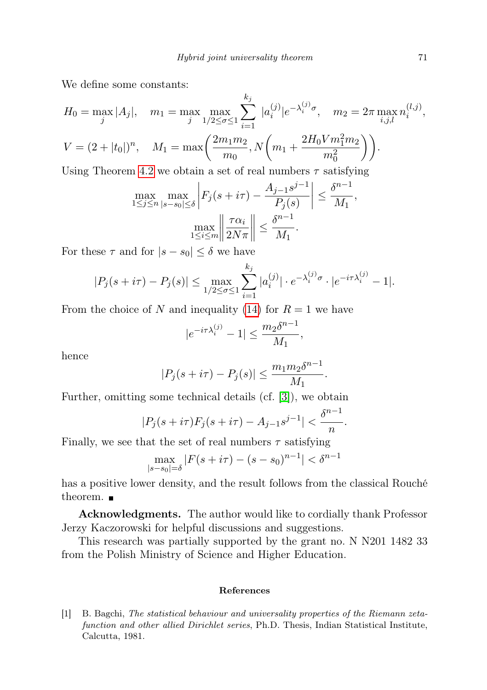$\mathbf{L}$ 

We define some constants:

$$
H_0 = \max_j |A_j|, \quad m_1 = \max_j \max_{1/2 \le \sigma \le 1} \sum_{i=1}^{\kappa_j} |a_i^{(j)}| e^{-\lambda_i^{(j)} \sigma}, \quad m_2 = 2\pi \max_{i,j,l} n_i^{(l,j)},
$$
  

$$
V = (2 + |t_0|)^n, \quad M_1 = \max\left(\frac{2m_1m_2}{m_0}, N\left(m_1 + \frac{2H_0 V m_1^2 m_2}{m_0^2}\right)\right).
$$

Using Theorem [4.2](#page-9-0) we obtain a set of real numbers  $\tau$  satisfying

$$
\max_{1 \le j \le n} \max_{|s-s_0| \le \delta} \left| F_j(s+i\tau) - \frac{A_{j-1}s^{j-1}}{P_j(s)} \right| \le \frac{\delta^{n-1}}{M_1},
$$

$$
\max_{1 \le i \le m} \left\| \frac{\tau \alpha_i}{2N\pi} \right\| \le \frac{\delta^{n-1}}{M_1}.
$$

For these  $\tau$  and for  $|s - s_0| \leq \delta$  we have

$$
|P_j(s+i\tau) - P_j(s)| \le \max_{1/2 \le \sigma \le 1} \sum_{i=1}^{k_j} |a_i^{(j)}| \cdot e^{-\lambda_i^{(j)}\sigma} \cdot |e^{-i\tau \lambda_i^{(j)}} - 1|.
$$

From the choice of N and inequality [\(14\)](#page-10-2) for  $R = 1$  we have

$$
|e^{-i\tau\lambda_i^{(j)}}-1|\leq \frac{m_2\delta^{n-1}}{M_1},
$$

hence

$$
|P_j(s + i\tau) - P_j(s)| \le \frac{m_1 m_2 \delta^{n-1}}{M_1}.
$$

Further, omitting some technical details (cf. [\[3\]](#page-13-5)), we obtain

$$
|P_j(s+i\tau)F_j(s+i\tau) - A_{j-1}s^{j-1}| < \frac{\delta^{n-1}}{n}.
$$

Finally, we see that the set of real numbers  $\tau$  satisfying

$$
\max_{|s-s_0|=\delta} |F(s+i\tau) - (s-s_0)^{n-1}| < \delta^{n-1}
$$

has a positive lower density, and the result follows from the classical Rouché theorem.  $\blacksquare$ 

Acknowledgments. The author would like to cordially thank Professor Jerzy Kaczorowski for helpful discussions and suggestions.

This research was partially supported by the grant no. N N201 1482 33 from the Polish Ministry of Science and Higher Education.

## References

<span id="page-12-0"></span>[1] B. Bagchi, The statistical behaviour and universality properties of the Riemann zetafunction and other allied Dirichlet series, Ph.D. Thesis, Indian Statistical Institute, Calcutta, 1981.